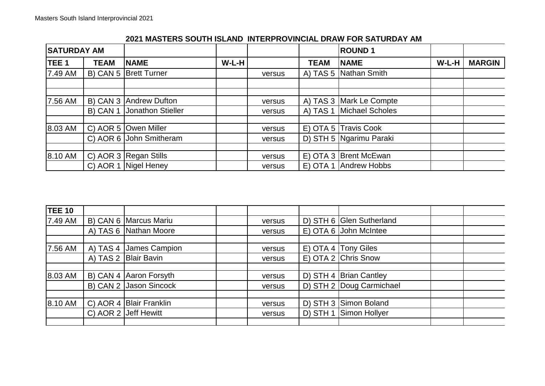| <b>SATURDAY AM</b> |             |                         |       |        |             | <b>ROUND1</b>           |       |               |
|--------------------|-------------|-------------------------|-------|--------|-------------|-------------------------|-------|---------------|
| <b>TEE 1</b>       | <b>TEAM</b> | <b>INAME</b>            | W-L-H |        | <b>TEAM</b> | <b>NAME</b>             | W-L-H | <b>MARGIN</b> |
| 7.49 AM            |             | B) CAN 5   Brett Turner |       | versus |             | A) TAS 5   Nathan Smith |       |               |
|                    |             |                         |       |        |             |                         |       |               |
| 7.56 AM            |             | B) CAN 3 Andrew Dufton  |       | versus |             | A) TAS 3 Mark Le Compte |       |               |
|                    | B) CAN 1    | Jonathon Stieller       |       | versus | A) TAS 1    | Michael Scholes         |       |               |
|                    |             |                         |       |        |             |                         |       |               |
| 8.03 AM            |             | C) AOR 5   Owen Miller  |       | versus |             | E) OTA 5 Travis Cook    |       |               |
|                    |             | C) AOR 6 John Smitheram |       | versus |             | D) STH 5 Ngarimu Paraki |       |               |
|                    |             |                         |       |        |             |                         |       |               |
| 8.10 AM            |             | C) AOR 3 Regan Stills   |       | versus |             | E) OTA 3   Brent McEwan |       |               |
|                    |             | C) AOR 1 Nigel Heney    |       | versus |             | E) OTA 1 Andrew Hobbs   |       |               |

## **2021 MASTERS SOUTH ISLAND INTERPROVINCIAL DRAW FOR SATURDAY AM**

| <b>TEE 10</b> |          |                           |               |            |                          |  |
|---------------|----------|---------------------------|---------------|------------|--------------------------|--|
| 7.49 AM       |          | B) CAN 6   Marcus Mariu   | versus        |            | D) STH 6 Glen Sutherland |  |
|               |          | A) TAS 6   Nathan Moore   | versus        |            | E) OTA 6 John McIntee    |  |
|               |          |                           |               |            |                          |  |
| 7.56 AM       | A) TAS 4 | James Campion             | versus        |            | E) OTA 4   Tony Giles    |  |
|               | A) TAS 2 | <b>Blair Bavin</b>        | <b>versus</b> |            | E) OTA 2 Chris Snow      |  |
|               |          |                           |               |            |                          |  |
| 8.03 AM       | B) CAN 4 | Aaron Forsyth             | versus        |            | D) STH 4 Brian Cantley   |  |
|               |          | B) CAN 2 Jason Sincock    | versus        |            | D) STH 2 Doug Carmichael |  |
|               |          |                           |               |            |                          |  |
| 8.10 AM       |          | C) AOR 4   Blair Franklin | versus        |            | D) STH 3 Simon Boland    |  |
|               |          | C) AOR 2 Jeff Hewitt      | versus        | $D)$ STH 1 | Simon Hollyer            |  |
|               |          |                           |               |            |                          |  |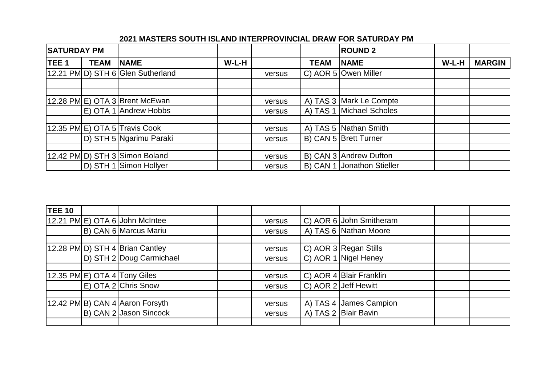| <b>SATURDAY PM</b> |             |                                   |       |        |             | <b>ROUND 2</b>             |       |               |
|--------------------|-------------|-----------------------------------|-------|--------|-------------|----------------------------|-------|---------------|
| <b>TEE1</b>        | <b>TEAM</b> | <b>INAME</b>                      | W-L-H |        | <b>TEAM</b> | <b>NAME</b>                | W-L-H | <b>MARGIN</b> |
|                    |             | 12.21 PM D) STH 6 Glen Sutherland |       | versus |             | C) AOR 5 Owen Miller       |       |               |
|                    |             |                                   |       |        |             |                            |       |               |
|                    |             |                                   |       |        |             |                            |       |               |
|                    |             | 12.28 PM E) OTA 3 Brent McEwan    |       | versus |             | A) TAS 3 Mark Le Compte    |       |               |
|                    |             | E) OTA 1 Andrew Hobbs             |       | versus |             | A) TAS 1 Michael Scholes   |       |               |
|                    |             | 12.35 PM E) OTA 5 Travis Cook     |       | versus |             | A) TAS 5 Nathan Smith      |       |               |
|                    |             | D) STH 5 Ngarimu Paraki           |       | versus |             | B) CAN 5 Brett Turner      |       |               |
|                    |             |                                   |       |        |             |                            |       |               |
|                    |             | 12.42 PM D) STH 3 Simon Boland    |       | versus |             | B) CAN 3 Andrew Dufton     |       |               |
|                    |             | D) STH 1 Simon Hollyer            |       | versus |             | B) CAN 1 Jonathon Stieller |       |               |

## **2021 MASTERS SOUTH ISLAND INTERPROVINCIAL DRAW FOR SATURDAY PM**

| <b>TEE 10</b> |                                 |        |                         |  |
|---------------|---------------------------------|--------|-------------------------|--|
|               | 12.21 PM E) OTA 6 John McIntee  | versus | C) AOR 6 John Smitheram |  |
|               | B) CAN 6 Marcus Mariu           | versus | A) TAS 6 Nathan Moore   |  |
|               |                                 |        |                         |  |
|               | 12.28 PM D) STH 4 Brian Cantley | versus | C) AOR 3 Regan Stills   |  |
|               | D) STH 2 Doug Carmichael        | versus | C) AOR 1 Nigel Heney    |  |
|               |                                 |        |                         |  |
|               | 12.35 PM E) OTA 4 Tony Giles    | versus | C) AOR 4 Blair Franklin |  |
|               | E) OTA 2 Chris Snow             | versus | C) AOR 2 Jeff Hewitt    |  |
|               |                                 |        |                         |  |
|               | 12.42 PM B) CAN 4 Aaron Forsyth | versus | A) TAS 4 James Campion  |  |
|               | B) CAN 2 Jason Sincock          | versus | A) TAS 2 Blair Bavin    |  |
|               |                                 |        |                         |  |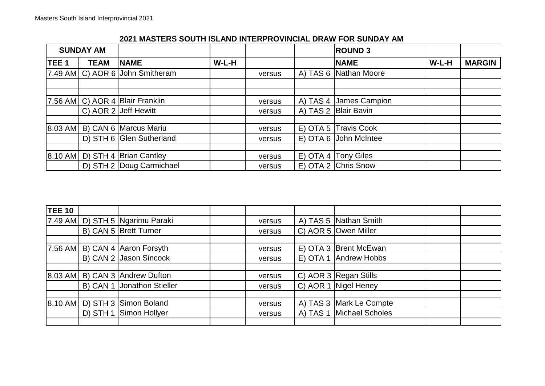| <b>SUNDAY AM</b> |             |                                            |       |        | <b>ROUND3</b>            |       |               |
|------------------|-------------|--------------------------------------------|-------|--------|--------------------------|-------|---------------|
| TEE <sub>1</sub> | <b>TEAM</b> | <b>NAME</b>                                | W-L-H |        | <b>NAME</b>              | W-L-H | <b>MARGIN</b> |
|                  |             | [7.49 AM C) AOR 6 John Smitheram           |       | versus | A) TAS 6   Nathan Moore  |       |               |
|                  |             |                                            |       |        |                          |       |               |
|                  |             | 7.56 AM C) AOR 4 Blair Franklin            |       | versus | A) TAS 4   James Campion |       |               |
|                  |             | C) AOR 2 Jeff Hewitt                       |       | versus | A) TAS 2   Blair Bavin   |       |               |
|                  |             | 8.03 AM B) CAN 6 Marcus Mariu              |       | versus | E) OTA 5 Travis Cook     |       |               |
|                  |             | D) STH 6 Glen Sutherland                   |       | versus | E) OTA 6 John McIntee    |       |               |
|                  |             | $ 8.10 \text{ AM} $ D) STH 4 Brian Cantley |       | versus | E) OTA 4   Tony Giles    |       |               |
|                  |             | D) STH 2 Doug Carmichael                   |       | versus | E) OTA 2 Chris Snow      |       |               |

## **2021 MASTERS SOUTH ISLAND INTERPROVINCIAL DRAW FOR SUNDAY AM**

| <b>TEE 10</b> |                                           |        |          |                           |  |
|---------------|-------------------------------------------|--------|----------|---------------------------|--|
|               | 7.49 AM D) STH 5 Ngarimu Paraki           | versus |          | A) TAS 5   Nathan Smith   |  |
|               | B) CAN 5 Brett Turner                     | versus |          | C) AOR 5 Owen Miller      |  |
|               |                                           |        |          |                           |  |
|               | 7.56 AM   B) CAN 4 Aaron Forsyth          | versus |          | E) OTA 3   Brent McEwan   |  |
|               | B) CAN 2 Jason Sincock                    | versus |          | E) OTA 1 Andrew Hobbs     |  |
|               |                                           |        |          |                           |  |
|               | 8.03 AM   B) CAN 3   Andrew Dufton        | versus |          | C) AOR 3 Regan Stills     |  |
|               | B) CAN 1 Jonathon Stieller                | versus |          | C) AOR 1 Nigel Heney      |  |
|               |                                           |        |          |                           |  |
|               | $ 8.10 \text{ AM} $ D) STH 3 Simon Boland | versus |          | A) TAS 3   Mark Le Compte |  |
|               | D) STH 1 Simon Hollyer                    | versus | A) TAS 1 | Michael Scholes           |  |
|               |                                           |        |          |                           |  |